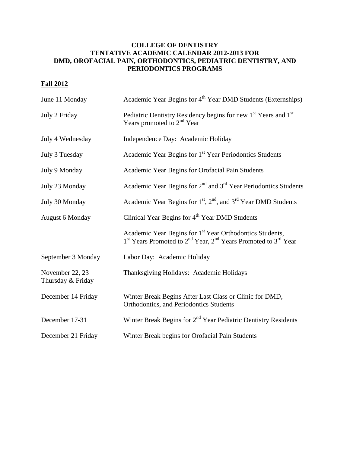## **COLLEGE OF DENTISTRY TENTATIVE ACADEMIC CALENDAR 2012-2013 FOR DMD, OROFACIAL PAIN, ORTHODONTICS, PEDIATRIC DENTISTRY, AND PERIODONTICS PROGRAMS**

## **Fall 2012**

| June 11 Monday                       | Academic Year Begins for 4 <sup>th</sup> Year DMD Students (Externships)                                                                                                               |
|--------------------------------------|----------------------------------------------------------------------------------------------------------------------------------------------------------------------------------------|
| July 2 Friday                        | Pediatric Dentistry Residency begins for new 1 <sup>st</sup> Years and 1 <sup>st</sup><br>Years promoted to $2nd$ Year                                                                 |
| July 4 Wednesday                     | Independence Day: Academic Holiday                                                                                                                                                     |
| July 3 Tuesday                       | Academic Year Begins for 1 <sup>st</sup> Year Periodontics Students                                                                                                                    |
| July 9 Monday                        | Academic Year Begins for Orofacial Pain Students                                                                                                                                       |
| July 23 Monday                       | Academic Year Begins for $2nd$ and $3rd$ Year Periodontics Students                                                                                                                    |
| July 30 Monday                       | Academic Year Begins for 1 <sup>st</sup> , 2 <sup>nd</sup> , and 3 <sup>rd</sup> Year DMD Students                                                                                     |
| <b>August 6 Monday</b>               | Clinical Year Begins for 4 <sup>th</sup> Year DMD Students                                                                                                                             |
|                                      | Academic Year Begins for 1 <sup>st</sup> Year Orthodontics Students,<br>1 <sup>st</sup> Years Promoted to 2 <sup>nd</sup> Year, 2 <sup>nd</sup> Years Promoted to 3 <sup>rd</sup> Year |
| September 3 Monday                   | Labor Day: Academic Holiday                                                                                                                                                            |
| November 22, 23<br>Thursday & Friday | Thanksgiving Holidays: Academic Holidays                                                                                                                                               |
| December 14 Friday                   | Winter Break Begins After Last Class or Clinic for DMD,<br>Orthodontics, and Periodontics Students                                                                                     |
| December 17-31                       | Winter Break Begins for 2 <sup>nd</sup> Year Pediatric Dentistry Residents                                                                                                             |
| December 21 Friday                   | Winter Break begins for Orofacial Pain Students                                                                                                                                        |